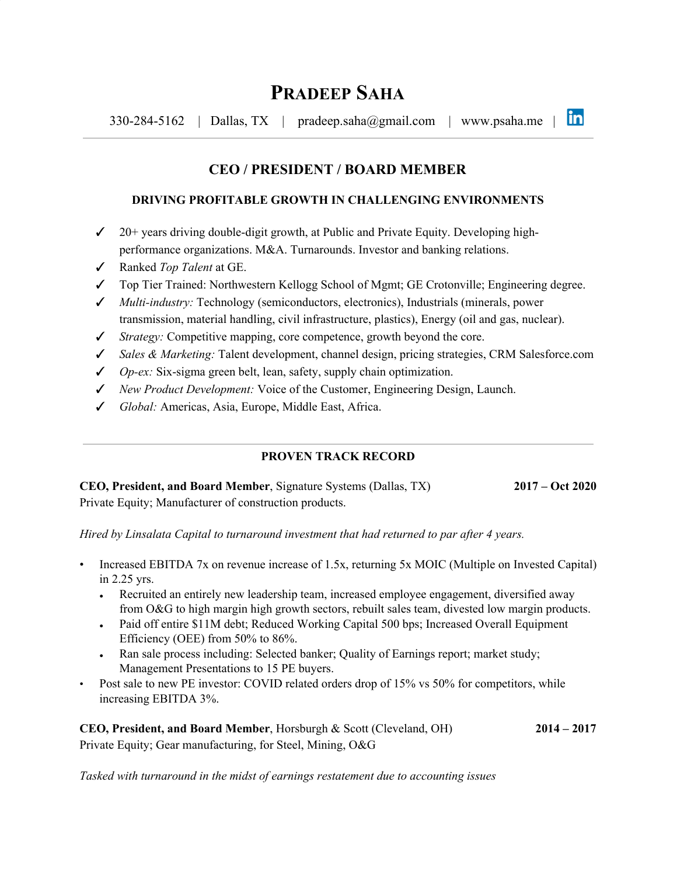lin  $330-284-5162$  | Dallas, TX | [pradeep.saha@gmail.com](mailto:pradeep.saha@gmail.com) | [www.psaha.me](http://www.pradeepsaha.com/) |

# **CEO / PRESIDENT / BOARD MEMBER**

### **DRIVING PROFITABLE GROWTH IN CHALLENGING ENVIRONMENTS**

- $\checkmark$  20+ years driving double-digit growth, at Public and Private Equity. Developing highperformance organizations. M&A. Turnarounds. Investor and banking relations.
- ✓ Ranked *Top Talent* at GE.
- ✓ Top Tier Trained: Northwestern Kellogg School of Mgmt; GE Crotonville; Engineering degree.
- ✓ *Multi-industry:* Technology (semiconductors, electronics), Industrials (minerals, power transmission, material handling, civil infrastructure, plastics), Energy (oil and gas, nuclear).
- ✓ *Strategy:* Competitive mapping, core competence, growth beyond the core.
- ✓ *Sales & Marketing:* Talent development, channel design, pricing strategies, CRM Salesforce.com
- ✓ *Op-ex:* Six-sigma green belt, lean, safety, supply chain optimization.
- ✓ *New Product Development:* Voice of the Customer, Engineering Design, Launch.
- ✓ *Global:* Americas, Asia, Europe, Middle East, Africa.

## **PROVEN TRACK RECORD**

**CEO, President, and Board Member**, Signature Systems (Dallas, TX) **2017 – Oct 2020** Private Equity; Manufacturer of construction products.

*Hired by Linsalata Capital to turnaround investment that had returned to par after 4 years.*

- Increased EBITDA 7x on revenue increase of 1.5x, returning 5x MOIC (Multiple on Invested Capital) in 2.25 yrs.
	- Recruited an entirely new leadership team, increased employee engagement, diversified away from O&G to high margin high growth sectors, rebuilt sales team, divested low margin products.
	- Paid off entire \$11M debt; Reduced Working Capital 500 bps; Increased Overall Equipment Efficiency (OEE) from 50% to 86%.
	- Ran sale process including: Selected banker; Quality of Earnings report; market study; Management Presentations to 15 PE buyers.
- Post sale to new PE investor: COVID related orders drop of 15% vs 50% for competitors, while increasing EBITDA 3%.

**CEO, President, and Board Member**, Horsburgh & Scott (Cleveland, OH) **2014 – 2017** Private Equity; Gear manufacturing, for Steel, Mining, O&G

*Tasked with turnaround in the midst of earnings restatement due to accounting issues*